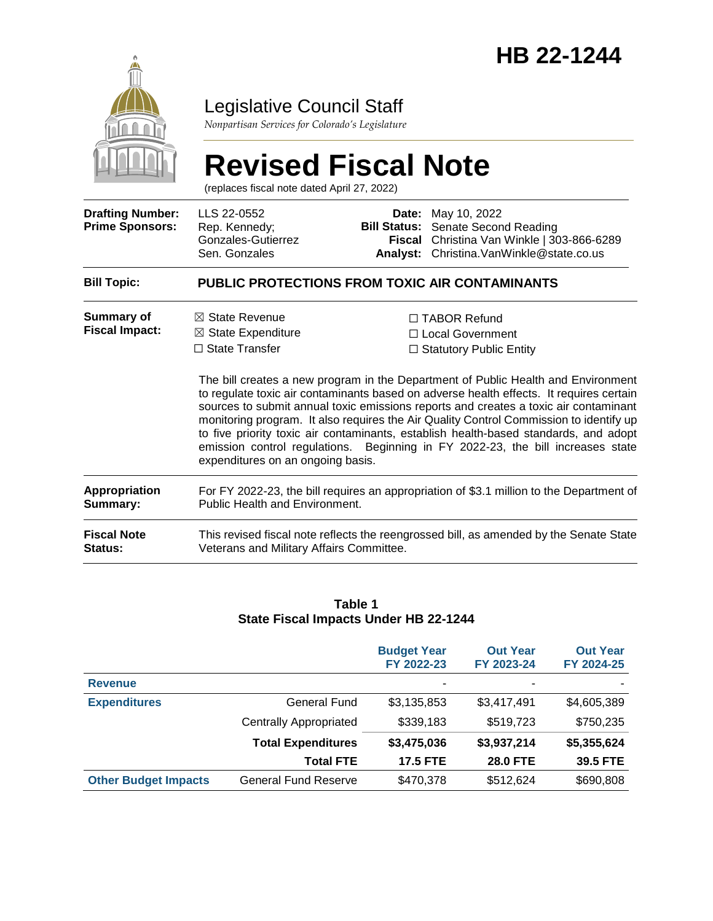

### Legislative Council Staff

*Nonpartisan Services for Colorado's Legislature*

# **Revised Fiscal Note**

(replaces fiscal note dated April 27, 2022)

| <b>Drafting Number:</b><br><b>Prime Sponsors:</b> | LLS 22-0552<br>Rep. Kennedy;<br>Gonzales-Gutierrez<br>Sen. Gonzales                                                                | Date:<br><b>Bill Status:</b><br>Fiscal<br>Analyst: | May 10, 2022<br>Senate Second Reading<br>Christina Van Winkle   303-866-6289<br>Christina. VanWinkle@state.co.us                                                                                                                                                                                                                                                                                                                                                                                                                                                                                                         |  |  |  |
|---------------------------------------------------|------------------------------------------------------------------------------------------------------------------------------------|----------------------------------------------------|--------------------------------------------------------------------------------------------------------------------------------------------------------------------------------------------------------------------------------------------------------------------------------------------------------------------------------------------------------------------------------------------------------------------------------------------------------------------------------------------------------------------------------------------------------------------------------------------------------------------------|--|--|--|
| <b>Bill Topic:</b>                                | <b>PUBLIC PROTECTIONS FROM TOXIC AIR CONTAMINANTS</b>                                                                              |                                                    |                                                                                                                                                                                                                                                                                                                                                                                                                                                                                                                                                                                                                          |  |  |  |
| <b>Summary of</b><br><b>Fiscal Impact:</b>        | $\boxtimes$ State Revenue<br>$\boxtimes$ State Expenditure<br>$\Box$ State Transfer<br>expenditures on an ongoing basis.           |                                                    | □ TABOR Refund<br>$\Box$ Local Government<br>$\Box$ Statutory Public Entity<br>The bill creates a new program in the Department of Public Health and Environment<br>to regulate toxic air contaminants based on adverse health effects. It requires certain<br>sources to submit annual toxic emissions reports and creates a toxic air contaminant<br>monitoring program. It also requires the Air Quality Control Commission to identify up<br>to five priority toxic air contaminants, establish health-based standards, and adopt<br>emission control regulations. Beginning in FY 2022-23, the bill increases state |  |  |  |
| Appropriation<br>Summary:                         | For FY 2022-23, the bill requires an appropriation of \$3.1 million to the Department of<br>Public Health and Environment.         |                                                    |                                                                                                                                                                                                                                                                                                                                                                                                                                                                                                                                                                                                                          |  |  |  |
| <b>Fiscal Note</b><br><b>Status:</b>              | This revised fiscal note reflects the reengrossed bill, as amended by the Senate State<br>Veterans and Military Affairs Committee. |                                                    |                                                                                                                                                                                                                                                                                                                                                                                                                                                                                                                                                                                                                          |  |  |  |

#### **Table 1 State Fiscal Impacts Under HB 22-1244**

|                             |                               | <b>Budget Year</b><br>FY 2022-23 | <b>Out Year</b><br>FY 2023-24 | <b>Out Year</b><br>FY 2024-25 |
|-----------------------------|-------------------------------|----------------------------------|-------------------------------|-------------------------------|
| <b>Revenue</b>              |                               | ۰                                | ۰                             |                               |
| <b>Expenditures</b>         | General Fund                  | \$3,135,853                      | \$3,417,491                   | \$4,605,389                   |
|                             | <b>Centrally Appropriated</b> | \$339,183                        | \$519,723                     | \$750,235                     |
|                             | <b>Total Expenditures</b>     | \$3,475,036                      | \$3,937,214                   | \$5,355,624                   |
|                             | <b>Total FTE</b>              | <b>17.5 FTE</b>                  | <b>28.0 FTE</b>               | 39.5 FTE                      |
| <b>Other Budget Impacts</b> | General Fund Reserve          | \$470,378                        | \$512,624                     | \$690,808                     |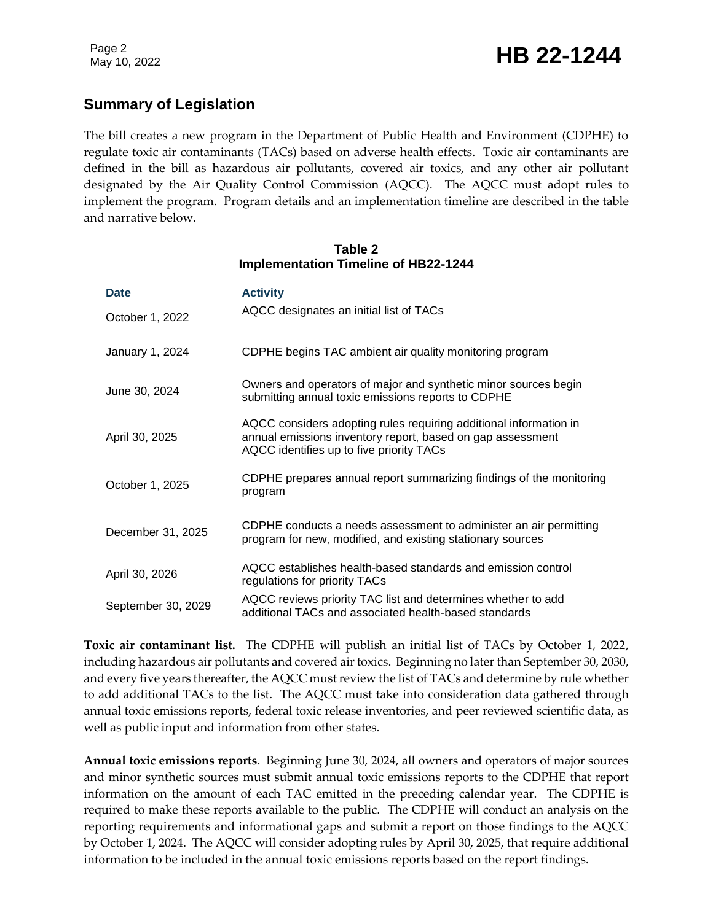#### **Summary of Legislation**

The bill creates a new program in the Department of Public Health and Environment (CDPHE) to regulate toxic air contaminants (TACs) based on adverse health effects. Toxic air contaminants are defined in the bill as hazardous air pollutants, covered air toxics, and any other air pollutant designated by the Air Quality Control Commission (AQCC). The AQCC must adopt rules to implement the program. Program details and an implementation timeline are described in the table and narrative below.

| <b>Date</b>        | <b>Activity</b>                                                                                                                                                             |
|--------------------|-----------------------------------------------------------------------------------------------------------------------------------------------------------------------------|
| October 1, 2022    | AQCC designates an initial list of TACs                                                                                                                                     |
| January 1, 2024    | CDPHE begins TAC ambient air quality monitoring program                                                                                                                     |
| June 30, 2024      | Owners and operators of major and synthetic minor sources begin<br>submitting annual toxic emissions reports to CDPHE                                                       |
| April 30, 2025     | AQCC considers adopting rules requiring additional information in<br>annual emissions inventory report, based on gap assessment<br>AQCC identifies up to five priority TACs |
| October 1, 2025    | CDPHE prepares annual report summarizing findings of the monitoring<br>program                                                                                              |
| December 31, 2025  | CDPHE conducts a needs assessment to administer an air permitting<br>program for new, modified, and existing stationary sources                                             |
| April 30, 2026     | AQCC establishes health-based standards and emission control<br>regulations for priority TACs                                                                               |
| September 30, 2029 | AQCC reviews priority TAC list and determines whether to add<br>additional TACs and associated health-based standards                                                       |

#### **Table 2 Implementation Timeline of HB22-1244**

**Toxic air contaminant list.** The CDPHE will publish an initial list of TACs by October 1, 2022, including hazardous air pollutants and covered air toxics. Beginning no later than September 30, 2030, and every five years thereafter, the AQCC must review the list of TACs and determine by rule whether to add additional TACs to the list. The AQCC must take into consideration data gathered through annual toxic emissions reports, federal toxic release inventories, and peer reviewed scientific data, as well as public input and information from other states.

**Annual toxic emissions reports**. Beginning June 30, 2024, all owners and operators of major sources and minor synthetic sources must submit annual toxic emissions reports to the CDPHE that report information on the amount of each TAC emitted in the preceding calendar year. The CDPHE is required to make these reports available to the public. The CDPHE will conduct an analysis on the reporting requirements and informational gaps and submit a report on those findings to the AQCC by October 1, 2024. The AQCC will consider adopting rules by April 30, 2025, that require additional information to be included in the annual toxic emissions reports based on the report findings.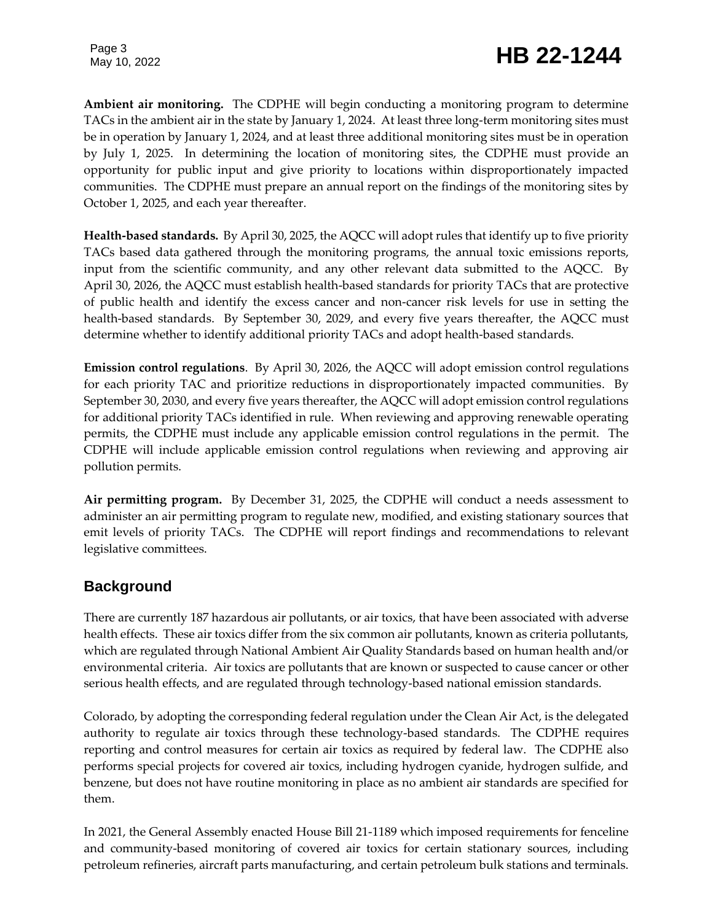## Page 3<br>May 10, 2022 **HB 22-1244**

**Ambient air monitoring.** The CDPHE will begin conducting a monitoring program to determine TACs in the ambient air in the state by January 1, 2024. At least three long-term monitoring sites must be in operation by January 1, 2024, and at least three additional monitoring sites must be in operation by July 1, 2025. In determining the location of monitoring sites, the CDPHE must provide an opportunity for public input and give priority to locations within disproportionately impacted communities. The CDPHE must prepare an annual report on the findings of the monitoring sites by October 1, 2025, and each year thereafter.

**Health-based standards.** By April 30, 2025, the AQCC will adopt rules that identify up to five priority TACs based data gathered through the monitoring programs, the annual toxic emissions reports, input from the scientific community, and any other relevant data submitted to the AQCC. By April 30, 2026, the AQCC must establish health-based standards for priority TACs that are protective of public health and identify the excess cancer and non-cancer risk levels for use in setting the health-based standards. By September 30, 2029, and every five years thereafter, the AQCC must determine whether to identify additional priority TACs and adopt health-based standards.

**Emission control regulations**. By April 30, 2026, the AQCC will adopt emission control regulations for each priority TAC and prioritize reductions in disproportionately impacted communities. By September 30, 2030, and every five years thereafter, the AQCC will adopt emission control regulations for additional priority TACs identified in rule. When reviewing and approving renewable operating permits, the CDPHE must include any applicable emission control regulations in the permit. The CDPHE will include applicable emission control regulations when reviewing and approving air pollution permits.

**Air permitting program.** By December 31, 2025, the CDPHE will conduct a needs assessment to administer an air permitting program to regulate new, modified, and existing stationary sources that emit levels of priority TACs. The CDPHE will report findings and recommendations to relevant legislative committees.

#### **Background**

There are currently 187 hazardous air pollutants, or air toxics, that have been associated with adverse health effects. These air toxics differ from the six common air pollutants, known as criteria pollutants, which are regulated through National Ambient Air Quality Standards based on human health and/or environmental criteria. Air toxics are pollutants that are known or suspected to cause cancer or other serious health effects, and are regulated through technology-based national emission standards.

Colorado, by adopting the corresponding federal regulation under the Clean Air Act, is the delegated authority to regulate air toxics through these technology-based standards. The CDPHE requires reporting and control measures for certain air toxics as required by federal law. The CDPHE also performs special projects for covered air toxics, including hydrogen cyanide, hydrogen sulfide, and benzene, but does not have routine monitoring in place as no ambient air standards are specified for them.

In 2021, the General Assembly enacted House Bill 21-1189 which imposed requirements for fenceline and community-based monitoring of covered air toxics for certain stationary sources, including petroleum refineries, aircraft parts manufacturing, and certain petroleum bulk stations and terminals.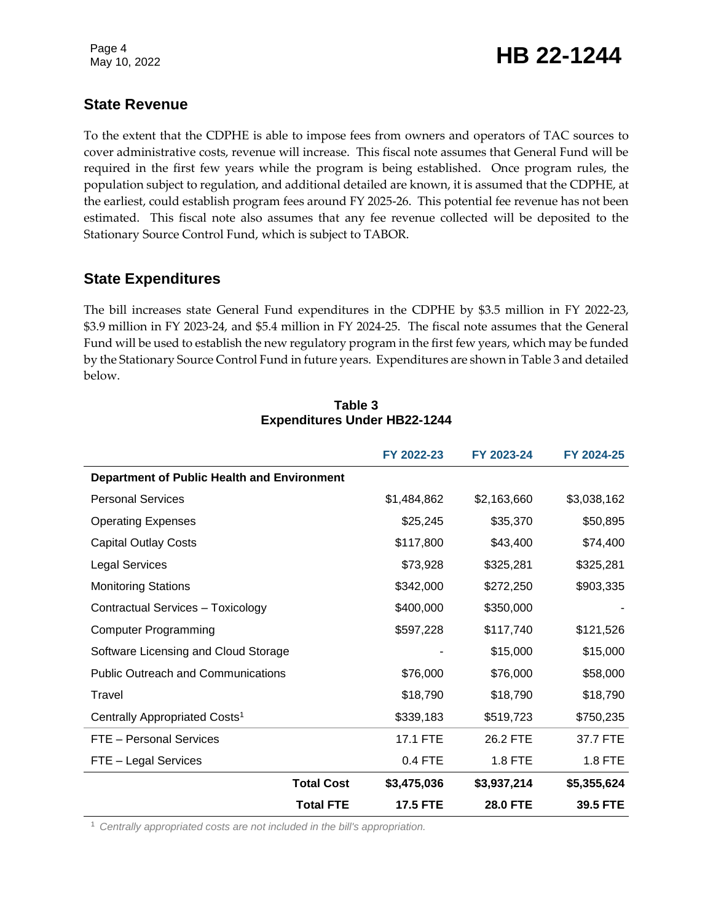### Page 4<br>May 10, 2022 **HB 22-1244**

#### **State Revenue**

To the extent that the CDPHE is able to impose fees from owners and operators of TAC sources to cover administrative costs, revenue will increase. This fiscal note assumes that General Fund will be required in the first few years while the program is being established. Once program rules, the population subject to regulation, and additional detailed are known, it is assumed that the CDPHE, at the earliest, could establish program fees around FY 2025-26. This potential fee revenue has not been estimated. This fiscal note also assumes that any fee revenue collected will be deposited to the Stationary Source Control Fund, which is subject to TABOR.

#### **State Expenditures**

The bill increases state General Fund expenditures in the CDPHE by \$3.5 million in FY 2022-23, \$3.9 million in FY 2023-24, and \$5.4 million in FY 2024-25. The fiscal note assumes that the General Fund will be used to establish the new regulatory program in the first few years, which may be funded by the Stationary Source Control Fund in future years. Expenditures are shown in Table 3 and detailed below.

|                                             | FY 2022-23      | FY 2023-24      | FY 2024-25  |
|---------------------------------------------|-----------------|-----------------|-------------|
| Department of Public Health and Environment |                 |                 |             |
| <b>Personal Services</b>                    | \$1,484,862     | \$2,163,660     | \$3,038,162 |
| <b>Operating Expenses</b>                   | \$25,245        | \$35,370        | \$50,895    |
| <b>Capital Outlay Costs</b>                 | \$117,800       | \$43,400        | \$74,400    |
| <b>Legal Services</b>                       | \$73,928        | \$325,281       | \$325,281   |
| <b>Monitoring Stations</b>                  | \$342,000       | \$272,250       | \$903,335   |
| Contractual Services - Toxicology           | \$400,000       | \$350,000       |             |
| <b>Computer Programming</b>                 | \$597,228       | \$117,740       | \$121,526   |
| Software Licensing and Cloud Storage        |                 | \$15,000        | \$15,000    |
| <b>Public Outreach and Communications</b>   | \$76,000        | \$76,000        | \$58,000    |
| Travel                                      | \$18,790        | \$18,790        | \$18,790    |
| Centrally Appropriated Costs <sup>1</sup>   | \$339,183       | \$519,723       | \$750,235   |
| FTE - Personal Services                     | 17.1 FTE        | 26.2 FTE        | 37.7 FTE    |
| FTE - Legal Services                        | 0.4 FTE         | 1.8 FTE         | 1.8 FTE     |
| <b>Total Cost</b>                           | \$3,475,036     | \$3,937,214     | \$5,355,624 |
| <b>Total FTE</b>                            | <b>17.5 FTE</b> | <b>28.0 FTE</b> | 39.5 FTE    |

#### **Table 3 Expenditures Under HB22-1244**

<sup>1</sup> *Centrally appropriated costs are not included in the bill's appropriation.*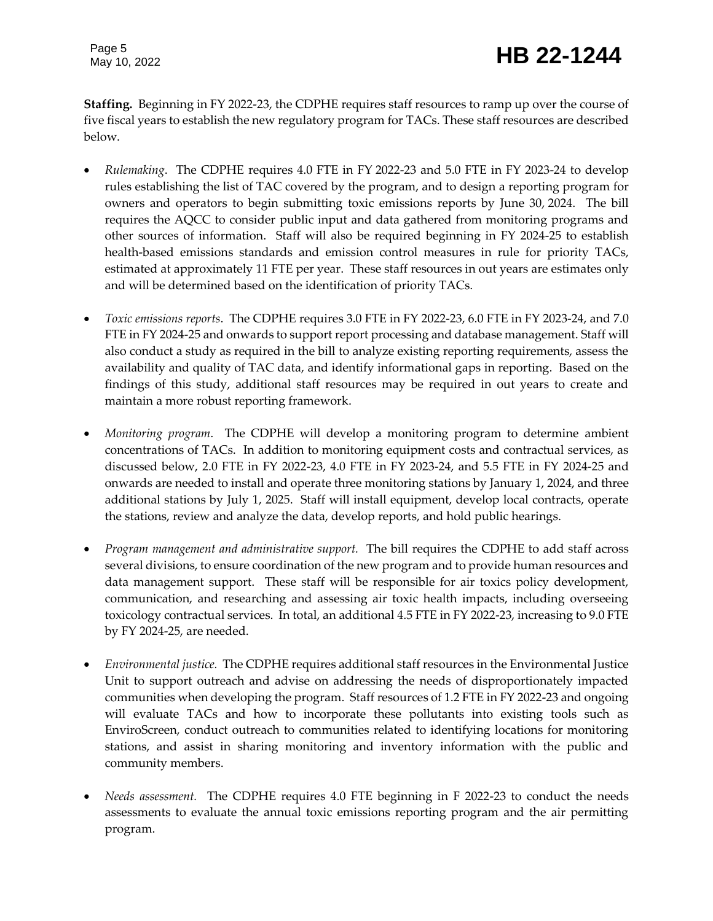**Staffing.** Beginning in FY 2022-23, the CDPHE requires staff resources to ramp up over the course of five fiscal years to establish the new regulatory program for TACs. These staff resources are described below.

- *Rulemaking*. The CDPHE requires 4.0 FTE in FY 2022-23 and 5.0 FTE in FY 2023-24 to develop rules establishing the list of TAC covered by the program, and to design a reporting program for owners and operators to begin submitting toxic emissions reports by June 30, 2024. The bill requires the AQCC to consider public input and data gathered from monitoring programs and other sources of information. Staff will also be required beginning in FY 2024-25 to establish health-based emissions standards and emission control measures in rule for priority TACs, estimated at approximately 11 FTE per year. These staff resources in out years are estimates only and will be determined based on the identification of priority TACs.
- *Toxic emissions reports*. The CDPHE requires 3.0 FTE in FY 2022-23, 6.0 FTE in FY 2023-24, and 7.0 FTE in FY 2024-25 and onwards to support report processing and database management. Staff will also conduct a study as required in the bill to analyze existing reporting requirements, assess the availability and quality of TAC data, and identify informational gaps in reporting. Based on the findings of this study, additional staff resources may be required in out years to create and maintain a more robust reporting framework.
- *Monitoring program*. The CDPHE will develop a monitoring program to determine ambient concentrations of TACs. In addition to monitoring equipment costs and contractual services, as discussed below, 2.0 FTE in FY 2022-23, 4.0 FTE in FY 2023-24, and 5.5 FTE in FY 2024-25 and onwards are needed to install and operate three monitoring stations by January 1, 2024, and three additional stations by July 1, 2025. Staff will install equipment, develop local contracts, operate the stations, review and analyze the data, develop reports, and hold public hearings.
- *Program management and administrative support.* The bill requires the CDPHE to add staff across several divisions, to ensure coordination of the new program and to provide human resources and data management support. These staff will be responsible for air toxics policy development, communication, and researching and assessing air toxic health impacts, including overseeing toxicology contractual services. In total, an additional 4.5 FTE in FY 2022-23, increasing to 9.0 FTE by FY 2024-25, are needed.
- *Environmental justice.* The CDPHE requires additional staff resources in the Environmental Justice Unit to support outreach and advise on addressing the needs of disproportionately impacted communities when developing the program. Staff resources of 1.2 FTE in FY 2022-23 and ongoing will evaluate TACs and how to incorporate these pollutants into existing tools such as EnviroScreen, conduct outreach to communities related to identifying locations for monitoring stations, and assist in sharing monitoring and inventory information with the public and community members.
- *Needs assessment.* The CDPHE requires 4.0 FTE beginning in F 2022-23 to conduct the needs assessments to evaluate the annual toxic emissions reporting program and the air permitting program.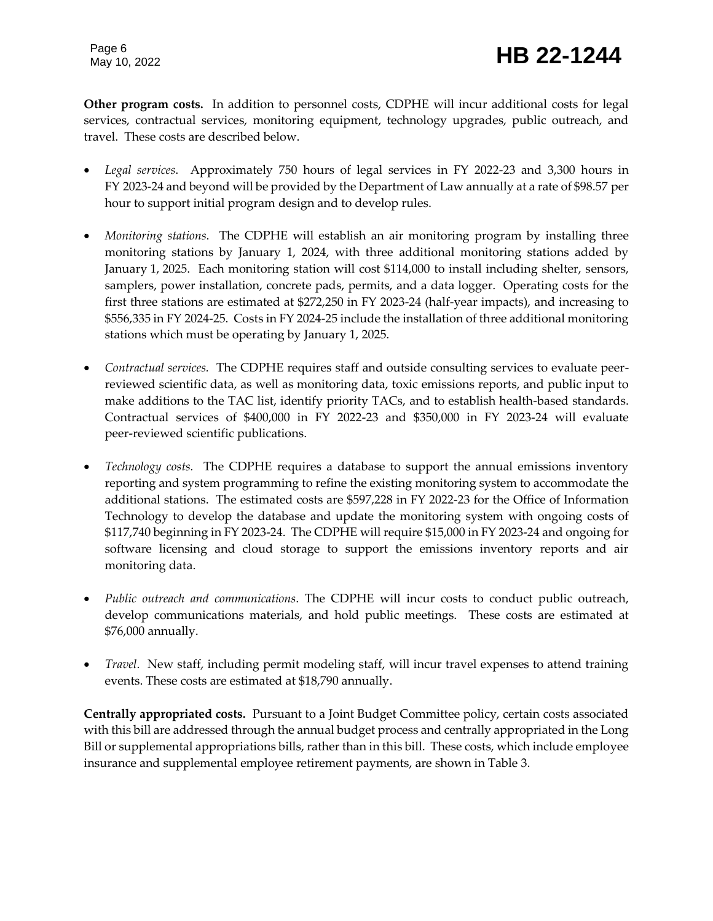### Page 6<br>May 10, 2022 **HB 22-1244**

**Other program costs.** In addition to personnel costs, CDPHE will incur additional costs for legal services, contractual services, monitoring equipment, technology upgrades, public outreach, and travel. These costs are described below.

- *Legal services*. Approximately 750 hours of legal services in FY 2022-23 and 3,300 hours in FY 2023-24 and beyond will be provided by the Department of Law annually at a rate of \$98.57 per hour to support initial program design and to develop rules.
- *Monitoring stations*. The CDPHE will establish an air monitoring program by installing three monitoring stations by January 1, 2024, with three additional monitoring stations added by January 1, 2025. Each monitoring station will cost \$114,000 to install including shelter, sensors, samplers, power installation, concrete pads, permits, and a data logger. Operating costs for the first three stations are estimated at \$272,250 in FY 2023-24 (half-year impacts), and increasing to \$556,335 in FY 2024-25. Costs in FY 2024-25 include the installation of three additional monitoring stations which must be operating by January 1, 2025.
- *Contractual services.* The CDPHE requires staff and outside consulting services to evaluate peerreviewed scientific data, as well as monitoring data, toxic emissions reports, and public input to make additions to the TAC list, identify priority TACs, and to establish health-based standards. Contractual services of \$400,000 in FY 2022-23 and \$350,000 in FY 2023-24 will evaluate peer-reviewed scientific publications.
- *Technology costs.* The CDPHE requires a database to support the annual emissions inventory reporting and system programming to refine the existing monitoring system to accommodate the additional stations. The estimated costs are \$597,228 in FY 2022-23 for the Office of Information Technology to develop the database and update the monitoring system with ongoing costs of \$117,740 beginning in FY 2023-24. The CDPHE will require \$15,000 in FY 2023-24 and ongoing for software licensing and cloud storage to support the emissions inventory reports and air monitoring data.
- *Public outreach and communications*. The CDPHE will incur costs to conduct public outreach, develop communications materials, and hold public meetings. These costs are estimated at \$76,000 annually.
- *Travel*. New staff, including permit modeling staff, will incur travel expenses to attend training events. These costs are estimated at \$18,790 annually.

**Centrally appropriated costs.** Pursuant to a Joint Budget Committee policy, certain costs associated with this bill are addressed through the annual budget process and centrally appropriated in the Long Bill or supplemental appropriations bills, rather than in this bill. These costs, which include employee insurance and supplemental employee retirement payments, are shown in Table 3.